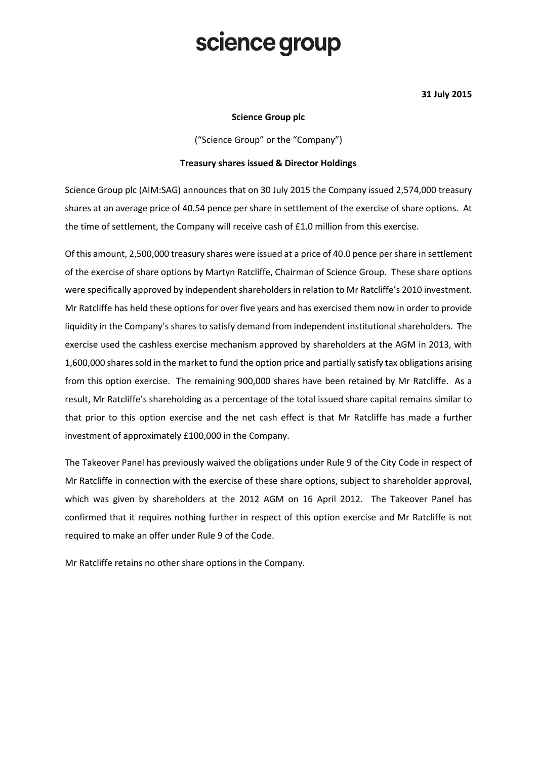# science group

### 31 July 2015

### Science Group plc

("Science Group" or the "Company")

### Treasury shares issued & Director Holdings

Science Group plc (AIM:SAG) announces that on 30 July 2015 the Company issued 2,574,000 treasury shares at an average price of 40.54 pence per share in settlement of the exercise of share options. At the time of settlement, the Company will receive cash of £1.0 million from this exercise.

Of this amount, 2,500,000 treasury shares were issued at a price of 40.0 pence per share in settlement of the exercise of share options by Martyn Ratcliffe, Chairman of Science Group. These share options were specifically approved by independent shareholders in relation to Mr Ratcliffe's 2010 investment. Mr Ratcliffe has held these options for over five years and has exercised them now in order to provide liquidity in the Company's shares to satisfy demand from independent institutional shareholders. The exercise used the cashless exercise mechanism approved by shareholders at the AGM in 2013, with 1,600,000 shares sold in the market to fund the option price and partially satisfy tax obligations arising from this option exercise. The remaining 900,000 shares have been retained by Mr Ratcliffe. As a result, Mr Ratcliffe's shareholding as a percentage of the total issued share capital remains similar to that prior to this option exercise and the net cash effect is that Mr Ratcliffe has made a further investment of approximately £100,000 in the Company.

The Takeover Panel has previously waived the obligations under Rule 9 of the City Code in respect of Mr Ratcliffe in connection with the exercise of these share options, subject to shareholder approval, which was given by shareholders at the 2012 AGM on 16 April 2012. The Takeover Panel has confirmed that it requires nothing further in respect of this option exercise and Mr Ratcliffe is not required to make an offer under Rule 9 of the Code.

Mr Ratcliffe retains no other share options in the Company.